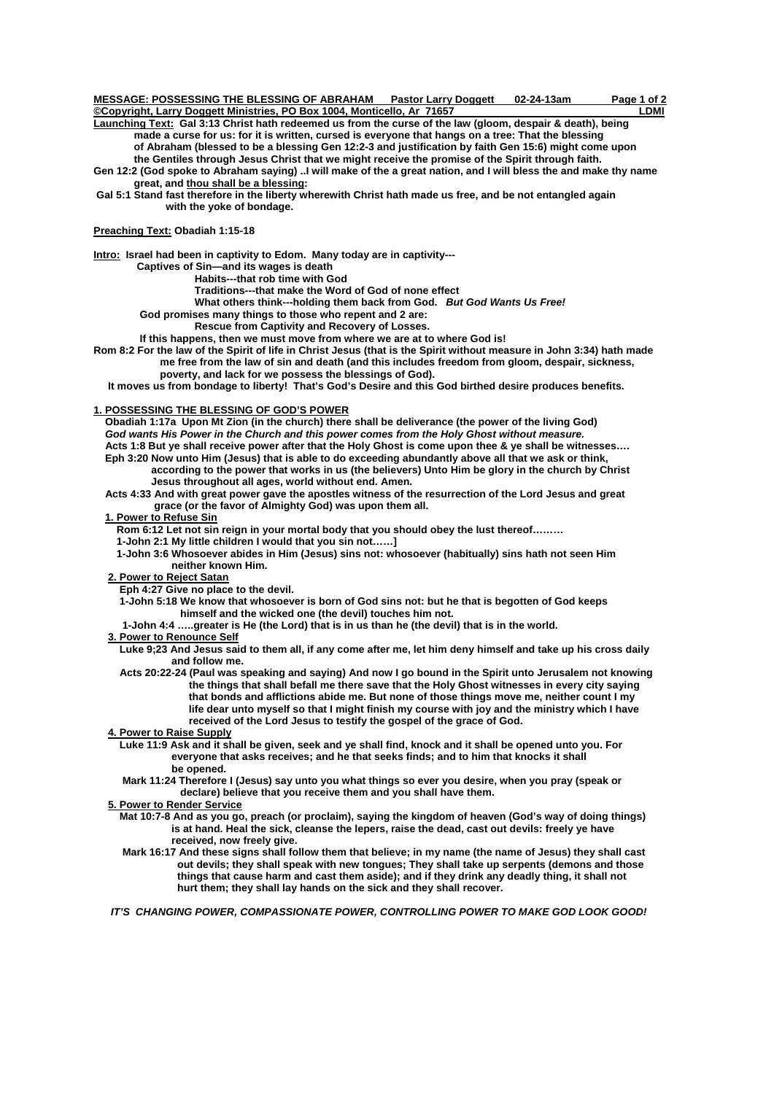| MESSAGE: POSSESSING THE BLESSING OF ABRAHAM                              | <b>Pastor Larry Doggett</b> | 02-24-13am | Page 1 of 2 |
|--------------------------------------------------------------------------|-----------------------------|------------|-------------|
| ©Copyright, Larry Doggett Ministries, PO Box 1004, Monticello, Ar  71657 |                             |            | LDMI        |

**Launching Text: Gal 3:13 Christ hath redeemed us from the curse of the law (gloom, despair & death), being made a curse for us: for it is written, cursed is everyone that hangs on a tree: That the blessing of Abraham (blessed to be a blessing Gen 12:2-3 and justification by faith Gen 15:6) might come upon** 

 **the Gentiles through Jesus Christ that we might receive the promise of the Spirit through faith. Gen 12:2 (God spoke to Abraham saying) ..I will make of the a great nation, and I will bless the and make thy name great, and thou shall be a blessing:** 

 **Gal 5:1 Stand fast therefore in the liberty wherewith Christ hath made us free, and be not entangled again with the yoke of bondage.** 

### **Preaching Text: Obadiah 1:15-18**

**Intro: Israel had been in captivity to Edom. Many today are in captivity---** 

 **Captives of Sin—and its wages is death** 

 **Habits---that rob time with God** 

 **Traditions---that make the Word of God of none effect** 

 **What others think---holding them back from God.** *But God Wants Us Free!* 

 **God promises many things to those who repent and 2 are:** 

 **Rescue from Captivity and Recovery of Losses.** 

 **If this happens, then we must move from where we are at to where God is!** 

**Rom 8:2 For the law of the Spirit of life in Christ Jesus (that is the Spirit without measure in John 3:34) hath made me free from the law of sin and death (and this includes freedom from gloom, despair, sickness, poverty, and lack for we possess the blessings of God).** 

 **It moves us from bondage to liberty! That's God's Desire and this God birthed desire produces benefits.** 

#### **1. POSSESSING THE BLESSING OF GOD'S POWER**

 **Obadiah 1:17a Upon Mt Zion (in the church) there shall be deliverance (the power of the living God)** *God wants His Power in the Church and this power comes from the Holy Ghost without measure.* **Acts 1:8 But ye shall receive power after that the Holy Ghost is come upon thee & ye shall be witnesses…. Eph 3:20 Now unto Him (Jesus) that is able to do exceeding abundantly above all that we ask or think, according to the power that works in us (the believers) Unto Him be glory in the church by Christ** 

 **Jesus throughout all ages, world without end. Amen. Acts 4:33 And with great power gave the apostles witness of the resurrection of the Lord Jesus and great** 

 **grace (or the favor of Almighty God) was upon them all.** 

 **1. Power to Refuse Sin**

 **Rom 6:12 Let not sin reign in your mortal body that you should obey the lust thereof………** 

 **1-John 2:1 My little children I would that you sin not……]** 

 **1-John 3:6 Whosoever abides in Him (Jesus) sins not: whosoever (habitually) sins hath not seen Him neither known Him.** 

#### **2. Power to Reject Satan**

 **Eph 4:27 Give no place to the devil.** 

 **1-John 5:18 We know that whosoever is born of God sins not: but he that is begotten of God keeps himself and the wicked one (the devil) touches him not.** 

 **1-John 4:4 …..greater is He (the Lord) that is in us than he (the devil) that is in the world.** 

#### **3. Power to Renounce Self**

- **Luke 9;23 And Jesus said to them all, if any come after me, let him deny himself and take up his cross daily and follow me.**
- **Acts 20:22-24 (Paul was speaking and saying) And now I go bound in the Spirit unto Jerusalem not knowing the things that shall befall me there save that the Holy Ghost witnesses in every city saying that bonds and afflictions abide me. But none of those things move me, neither count I my life dear unto myself so that I might finish my course with joy and the ministry which I have received of the Lord Jesus to testify the gospel of the grace of God.**

 **4. Power to Raise Supply**

- **Luke 11:9 Ask and it shall be given, seek and ye shall find, knock and it shall be opened unto you. For everyone that asks receives; and he that seeks finds; and to him that knocks it shall be opened.** 
	- **Mark 11:24 Therefore I (Jesus) say unto you what things so ever you desire, when you pray (speak or declare) believe that you receive them and you shall have them.**

 **5. Power to Render Service**

- **Mat 10:7-8 And as you go, preach (or proclaim), saying the kingdom of heaven (God's way of doing things) is at hand. Heal the sick, cleanse the lepers, raise the dead, cast out devils: freely ye have received, now freely give.**
- **Mark 16:17 And these signs shall follow them that believe; in my name (the name of Jesus) they shall cast out devils; they shall speak with new tongues; They shall take up serpents (demons and those things that cause harm and cast them aside); and if they drink any deadly thing, it shall not hurt them; they shall lay hands on the sick and they shall recover.**

*IT'S CHANGING POWER, COMPASSIONATE POWER, CONTROLLING POWER TO MAKE GOD LOOK GOOD!*